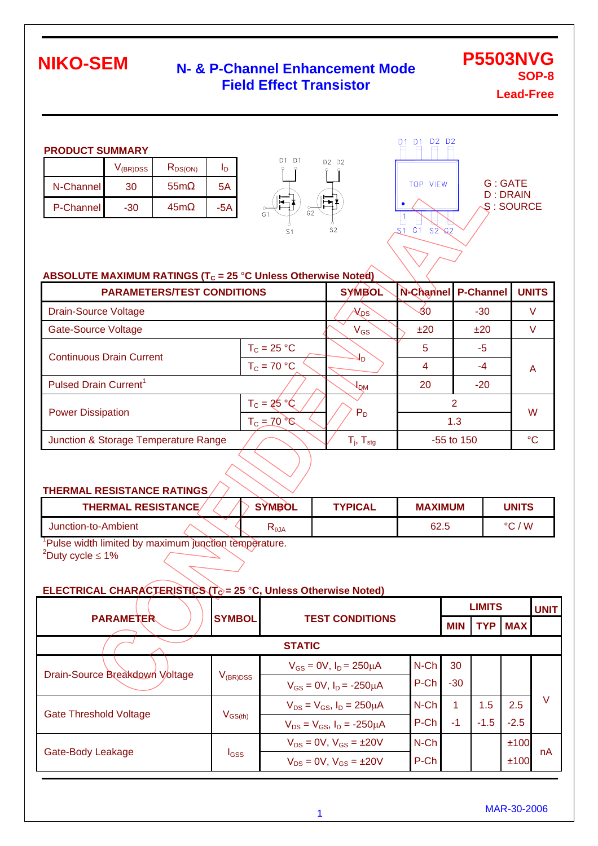### **N- & P-Channel Enhancement Mode Field Effect Transistor**

**P5503NVG SOP-8 Lead-Free**

#### **PRODUCT SUMMARY**

|           | $V_{(BR)DSS}$ | $\mathsf{R}_{\mathsf{DS}(\mathsf{ON})}$ |     |
|-----------|---------------|-----------------------------------------|-----|
| N-Channel | 30            | 55 <sub>m</sub>                         | 5Α  |
| P-Channel | -30           | 45m                                     | -5A |





#### **ABSOLUTE MAXIMUM RATINGS (T<sub>C</sub> = 25 °C Unless Otherwise Noted)**

| <b>PARAMETERS/TEST CONDITIONS</b>    | <b>SYMBOL</b>                    |                            | N-Channel P-Channel | <b>UNITS</b> |                 |  |
|--------------------------------------|----------------------------------|----------------------------|---------------------|--------------|-----------------|--|
| <b>Drain-Source Voltage</b>          |                                  | $\lambda_{\text{DS}}$      | 30                  | $-30$        |                 |  |
| <b>Gate-Source Voltage</b>           |                                  | $V_{GS}$                   | ±20                 | ±20          |                 |  |
| <b>Continuous Drain Current</b>      | $T_c = 25 °C$                    |                            | 5                   | -5           |                 |  |
|                                      | $T_c = 70 °C$                    | ٩n                         | 4                   | -4           | A               |  |
| Pulsed Drain Current <sup>1</sup>    |                                  | ┦ <sup>ом</sup>            | 20                  | $-20$        |                 |  |
| <b>Power Dissipation</b>             | $T_c = 25 °C$                    |                            |                     | 2            | W               |  |
|                                      | $T_c = 70^\circ \textcircled{c}$ | $P_D$                      | 1.3                 |              |                 |  |
| Junction & Storage Temperature Range |                                  | $T_{j}$ , $T_{\text{stg}}$ | $-55$ to 150        |              | $\rm ^{\circ}C$ |  |

#### **THERMAL RESISTANCE RATINGS**

| <b>THERMAL RESISTANCE/</b> | <b>SYMBOL</b>           | TYPICAL | <b>MAXIMUM</b> | <b>UNITS</b> |
|----------------------------|-------------------------|---------|----------------|--------------|
| Junction-to-Ambient        | $\mathsf{A}$ L $\theta$ |         | 62.5           | ' W<br>∘∼    |

<sup>1</sup>Pulse width limited by maximum junction temperature.  $2^2$ Duty cycle  $\leq 1\%$ 

#### **ELECTRICAL CHARACTERISTICS (T<sub>c</sub>) = 25 °C, Unless Otherwise Noted)**

|                                |                                                             |                                        |            | <b>LIMITS</b> |            |        | <b>UNIT</b> |
|--------------------------------|-------------------------------------------------------------|----------------------------------------|------------|---------------|------------|--------|-------------|
|                                | <b>SYMBOL</b><br><b>PARAMETER</b><br><b>TEST CONDITIONS</b> |                                        | <b>MIN</b> | <b>TYP</b>    | <b>MAX</b> |        |             |
| <b>STATIC</b>                  |                                                             |                                        |            |               |            |        |             |
|                                |                                                             | $V_{GS} = 0V$ , $I_D = 250 \mu A$      | N-Ch       | 30            |            |        |             |
| Drain-Source Breakdown Voltage | $V_{\rm(BR)DSS}$                                            | $V_{GS} = 0V$ , $I_D = -250 \mu A$     | P-Ch       | $-30$         |            |        |             |
| <b>Gate Threshold Voltage</b>  | $V_{\rm GS(th)}$                                            | $V_{DS} = V_{GS}$ , $I_D = 250 \mu A$  | $N$ -Ch    | 1             | 1.5        | 2.5    | V           |
|                                |                                                             | $V_{DS} = V_{GS}$ , $I_D = -250 \mu A$ | P-Ch       | -1            | $-1.5$     | $-2.5$ |             |
| Gate-Body Leakage              | <b>I</b> GSS                                                | $V_{DS} = 0V$ , $V_{GS} = \pm 20V$     | N-Ch       |               |            | ±100   |             |
|                                |                                                             | $V_{DS} = 0V$ , $V_{GS} = \pm 20V$     | P-Ch       |               |            | ±100   | nA          |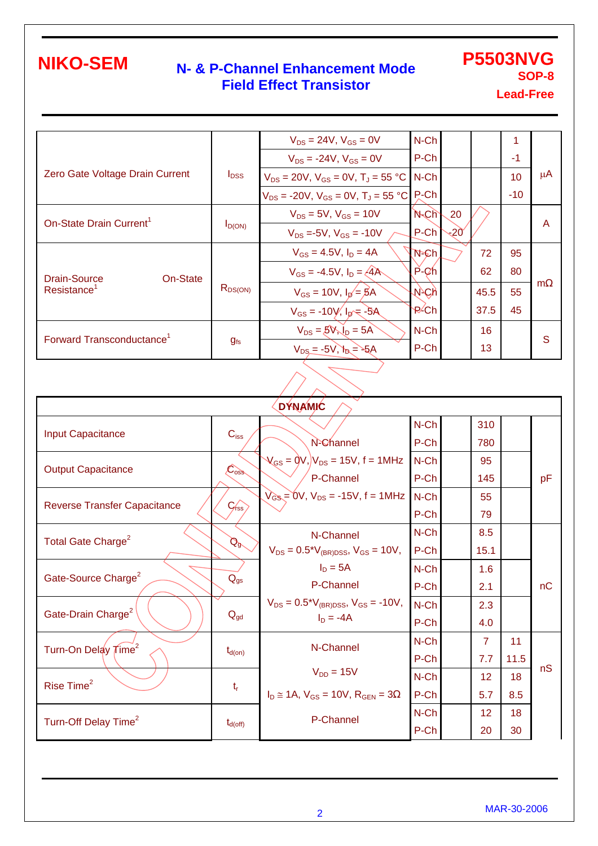### **N- & P-Channel Enhancement Mode Field Effect Transistor**

**P5503NVG SOP-8 Lead-Free**

 $V_{DS} = 24V$ ,  $V_{GS} = 0V$  $V_{DS}$  = -24V,  $V_{GS}$  = 0V N-Ch N-Ch 1<br>P-Ch 1 -1 Zero Gate Voltage Drain Current  $V_{\text{DSS}} = 20V$ ,  $V_{\text{GS}} = 0V$ ,  $T_J = 55 \text{ °C}$  $V_{DS}$  = -20V,  $V_{GS}$  = 0V, T<sub>J</sub> = 55 °C N-Ch N-Ch 10<br>P-Ch -10 -10 µA  $V_{DS}$  = 5V,  $V_{GS}$  = 10V On-State Drain Current<sup>1</sup>  $I_{D(ON)}$  $V_{DS} = -5V$ ,  $V_{GS} = -10V$ N-Ch P-Ch 20  $-20$  A  $V_{GS} = 4.5V$ ,  $I_D = 4A$  $V_{GS} = -4.5V$ ,  $I_D = \angle{4A}$ N-Ch P-Ch 72 62 95 80  $V_{GS} = 10V$ ,  $I_{D} = BA$ Drain-Source On-State  $Resistance<sup>1</sup>$  R<sub>DS(ON)</sub>  $V_{GS} = -10V, I_0 = -5A$ N-Ch P-Ch 45.5 37.5 55 45 m  $V_{DS} = 5V_{y}V_{D} = 5A$ Forward Transconductance<sup>1</sup>  $g<sub>fs</sub>$  $V_{DS} = -5V$ ,  $V_{D} = -5A$ N-Ch P-Ch 16 13 S

| <b>DYNAMIC</b>                      |                            |                                                          |         |  |                 |      |    |  |  |  |
|-------------------------------------|----------------------------|----------------------------------------------------------|---------|--|-----------------|------|----|--|--|--|
| <b>Input Capacitance</b>            |                            |                                                          | N-Ch    |  | 310             |      |    |  |  |  |
|                                     | $C_{iss}$                  | N-Channel                                                | P-Ch    |  | 780             |      |    |  |  |  |
|                                     |                            | $V_{GS} = 0 V$ , $V_{DS} = 15 V$ , f = 1MHz              | N-Ch    |  | 95              |      |    |  |  |  |
| <b>Output Capacitance</b>           | $\mathcal{L}_{\text{oss}}$ | P-Channel                                                | P-Ch    |  | 145             |      | pF |  |  |  |
|                                     |                            | $V_{\text{GS}} = 0V$ , $V_{\text{DS}} = -15V$ , f = 1MHz | $N$ -Ch |  | 55              |      |    |  |  |  |
| <b>Reverse Transfer Capacitance</b> | $C$ <sub>rss</sub>         |                                                          | P-Ch    |  | 79              |      |    |  |  |  |
| Total Gate Charge <sup>2</sup>      |                            | N-Channel                                                | N-Ch    |  | 8.5             |      |    |  |  |  |
|                                     | $\mathcal{Q}^2$            | $V_{DS} = 0.5*V_{(BR)DSS}$ , $V_{GS} = 10V$ ,            | $P-Ch$  |  | 15.1            |      |    |  |  |  |
|                                     |                            | $I_D = 5A$                                               | N-Ch    |  | 1.6             |      |    |  |  |  |
| Gate-Source Charge <sup>2</sup>     | $Q_{gs}$                   | P-Channel                                                | P-Ch    |  | 2.1             |      | nC |  |  |  |
|                                     | $Q_{gd}$                   | $V_{DS} = 0.5*V_{(BR)DSS}$ , $V_{GS} = -10V$ ,           | $N$ -Ch |  | 2.3             |      |    |  |  |  |
| Gate-Drain Charge <sup>2</sup>      |                            | $I_D = -4A$                                              | P-Ch    |  | 4.0             |      |    |  |  |  |
|                                     |                            | N-Channel                                                | N-Ch    |  | $\overline{7}$  | 11   |    |  |  |  |
| Turn-On Delay Time <sup>2</sup>     | $t_{\sf d(on)}$            |                                                          | P-Ch    |  | 7.7             | 11.5 |    |  |  |  |
| Rise Time <sup>2</sup>              |                            | $V_{DD} = 15V$                                           | $N$ -Ch |  | 12              | 18   | nS |  |  |  |
|                                     | $t_{\rm r}$                | $I_D \approx 1A$ , $V_{GS} = 10V$ , $R_{GEN} = 3$        | P-Ch    |  | 5.7             | 8.5  |    |  |  |  |
|                                     |                            | P-Channel                                                | N-Ch    |  | 12 <sub>2</sub> | 18   |    |  |  |  |
| Turn-Off Delay Time <sup>2</sup>    | $t_{d(\text{off})}$        |                                                          | P-Ch    |  | 20              | 30   |    |  |  |  |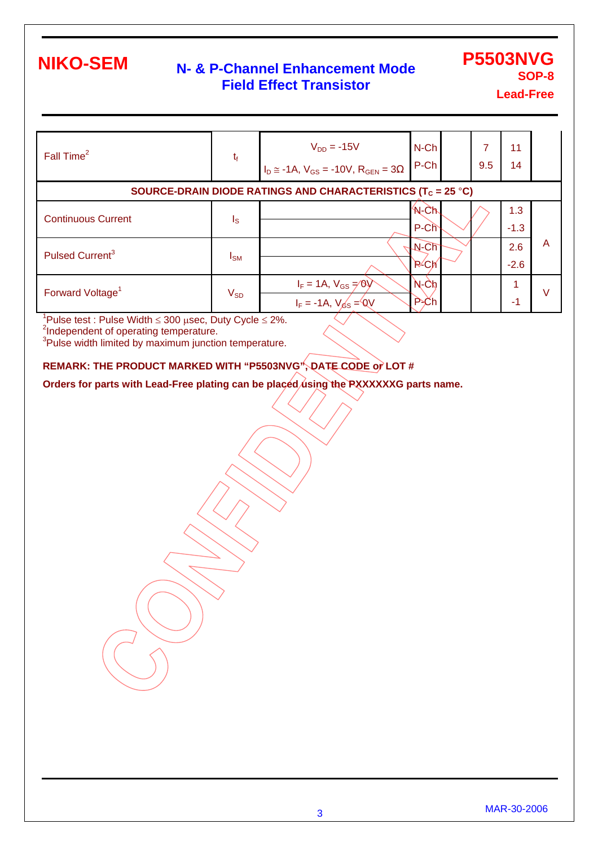### **N- & P-Channel Enhancement Mode Field Effect Transistor**

## **P5503NVG SOP-8**

**Lead-Free**

| Fall Time <sup>2</sup>       | $t_{\rm f}$ | $V_{DD} = -15V$<br>$\Big _{I_D \cong -1A, V_{GS} = -10V, R_{GEN} = 3}$  | $N$ -Ch<br>P-Ch       | 9.5 | 11<br>14      |   |
|------------------------------|-------------|-------------------------------------------------------------------------|-----------------------|-----|---------------|---|
|                              |             | SOURCE-DRAIN DIODE RATINGS AND CHARACTERISTICS (T <sub>C</sub> = 25 °C) |                       |     |               |   |
| <b>Continuous Current</b>    | $I_{\rm S}$ |                                                                         | <b>N-Ch</b><br>P-Ch   |     | 1.3<br>$-1.3$ |   |
| Pulsed Current <sup>3</sup>  | $I_{SM}$    |                                                                         | $N$ -C $h$<br>$R$ -Ch |     | 2.6<br>$-2.6$ | A |
| Forward Voltage <sup>1</sup> | $V_{SD}$    | $I_F = 1A$ , $V_{GS} = 0V$<br>$I_F = -1A, V_{SS} = 0V$                  | $N$ - $Ch$<br>P-Ch    |     | $-1$          |   |

<sup>1</sup>Pulse test : Pulse Width ≤ 300 μsec, Duty Cycle ≤ 2%.<br><sup>2</sup>Independent of operating temperature.<br><sup>3</sup>Pulse width limited by maximum junction temperature.

#### **REMARK: THE PRODUCT MARKED WITH "P5503NVG", DATE CODE or LOT #**

Orders for parts with Lead-Free plating can be placed using the PXXXXXXG parts name.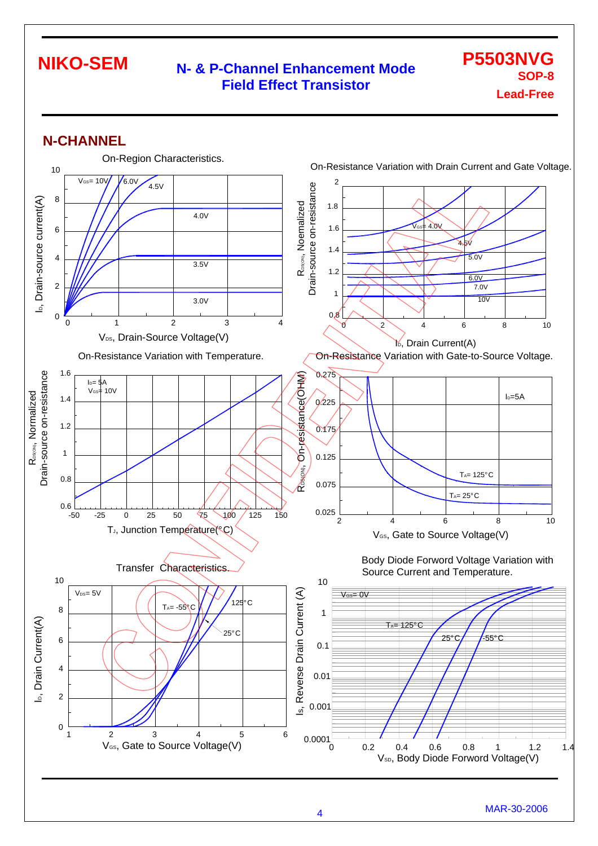#### **N- & P-Channel Enhancement Mode Field Effect Transistor**

**P5503NVG SOP-8 Lead-Free**

#### **N-CHANNEL**

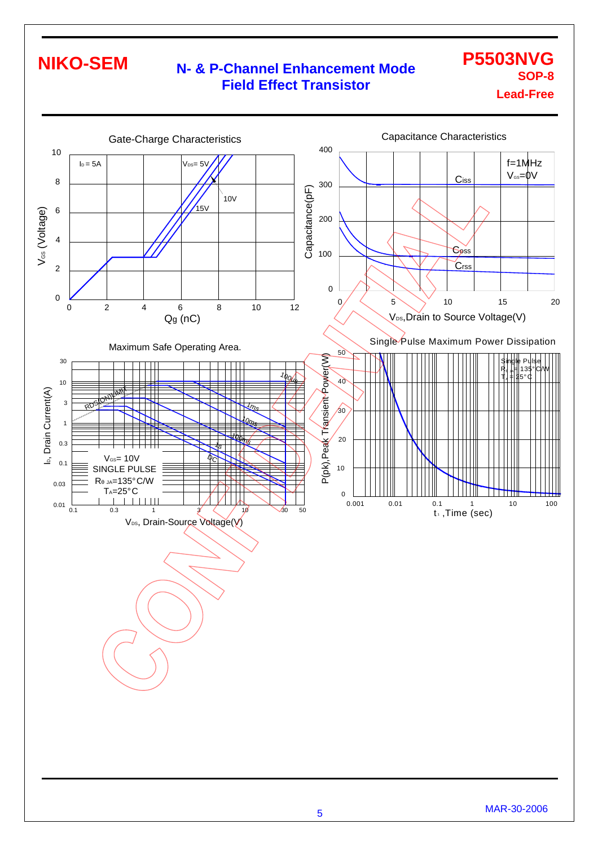### **N- & P-Channel Enhancement Mode Field Effect Transistor**

### **P5503NVG SOP-8 Lead-Free**

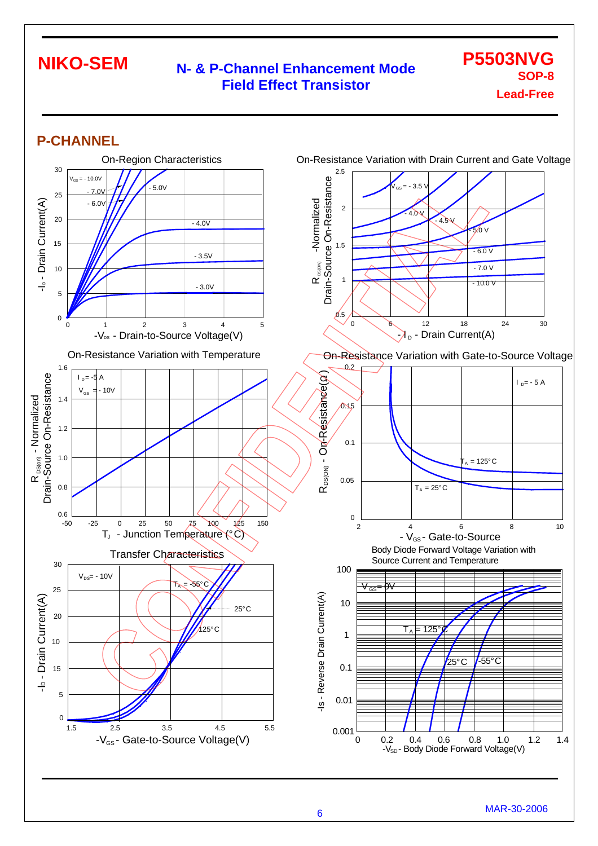#### **N- & P-Channel Enhancement Mode Field Effect Transistor**

**P5503NVG SOP-8 Lead-Free**

#### **P-CHANNEL**

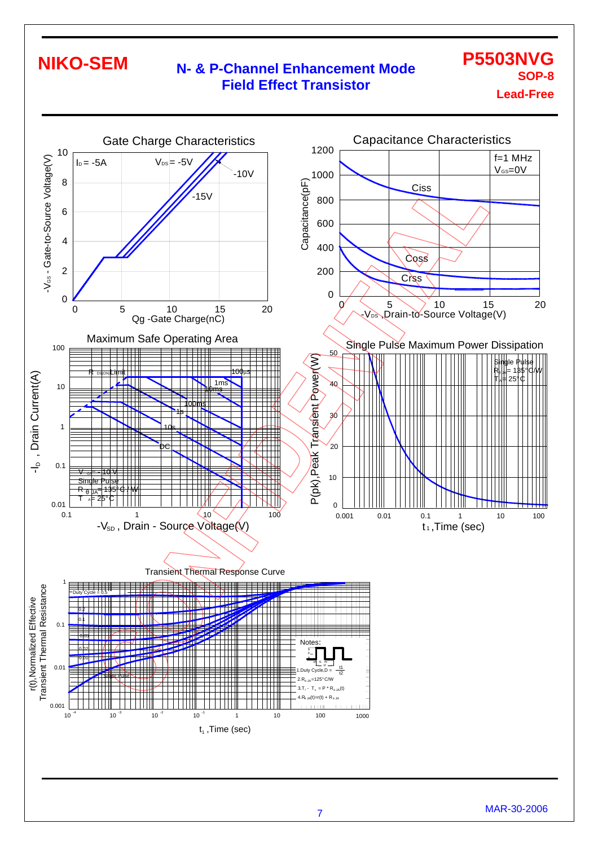### **N- & P-Channel Enhancement Mode Field Effect Transistor**

**P5503NVG SOP-8 Lead-Free**